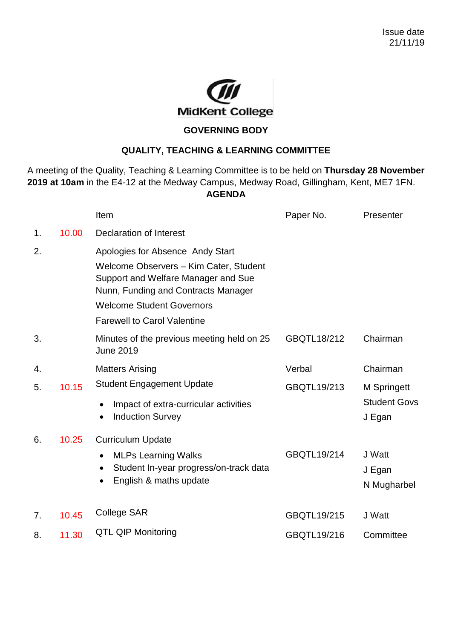

## **GOVERNING BODY**

## **QUALITY, TEACHING & LEARNING COMMITTEE**

A meeting of the Quality, Teaching & Learning Committee is to be held on **Thursday 28 November 2019 at 10am** in the E4-12 at the Medway Campus, Medway Road, Gillingham, Kent, ME7 1FN. **AGENDA**

|    |       | Item                                                                                                                                                                                                                               | Paper No.   | Presenter                                           |
|----|-------|------------------------------------------------------------------------------------------------------------------------------------------------------------------------------------------------------------------------------------|-------------|-----------------------------------------------------|
| 1. | 10.00 | Declaration of Interest                                                                                                                                                                                                            |             |                                                     |
| 2. |       | Apologies for Absence Andy Start<br>Welcome Observers - Kim Cater, Student<br>Support and Welfare Manager and Sue<br>Nunn, Funding and Contracts Manager<br><b>Welcome Student Governors</b><br><b>Farewell to Carol Valentine</b> |             |                                                     |
| 3. |       | Minutes of the previous meeting held on 25<br><b>June 2019</b>                                                                                                                                                                     | GBQTL18/212 | Chairman                                            |
| 4. |       | <b>Matters Arising</b>                                                                                                                                                                                                             | Verbal      | Chairman                                            |
| 5. | 10.15 | <b>Student Engagement Update</b><br>Impact of extra-curricular activities<br>٠<br><b>Induction Survey</b>                                                                                                                          | GBQTL19/213 | <b>M</b> Springett<br><b>Student Govs</b><br>J Egan |
| 6. | 10.25 | <b>Curriculum Update</b><br><b>MLPs Learning Walks</b><br>$\bullet$<br>Student In-year progress/on-track data<br>$\bullet$<br>English & maths update<br>$\bullet$                                                                  | GBQTL19/214 | J Watt<br>J Egan<br>N Mugharbel                     |
| 7. | 10.45 | College SAR                                                                                                                                                                                                                        | GBQTL19/215 | J Watt                                              |
| 8. | 11.30 | <b>QTL QIP Monitoring</b>                                                                                                                                                                                                          | GBQTL19/216 | Committee                                           |